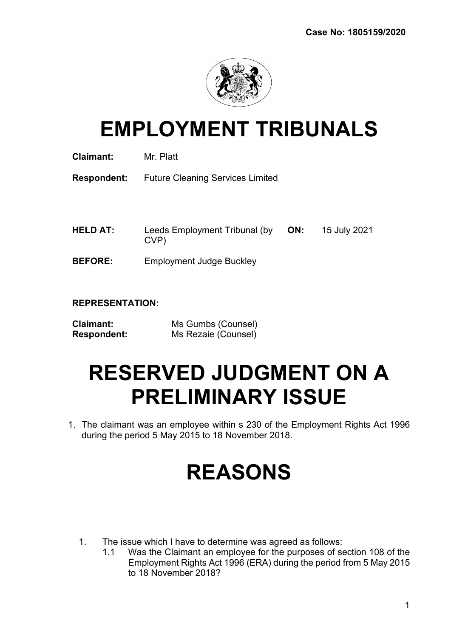

# EMPLOYMENT TRIBUNALS

| <b>Claimant:</b> | Mr. Platt |
|------------------|-----------|
|                  |           |

Respondent: Future Cleaning Services Limited

- HELD AT: Leeds Employment Tribunal (by CVP) ON: 15 July 2021
- BEFORE: Employment Judge Buckley

## REPRESENTATION:

| <b>Claimant:</b>   | Ms Gumbs (Counsel)  |
|--------------------|---------------------|
| <b>Respondent:</b> | Ms Rezaie (Counsel) |

# RESERVED JUDGMENT ON A PRELIMINARY ISSUE

1. The claimant was an employee within s 230 of the Employment Rights Act 1996 during the period 5 May 2015 to 18 November 2018.

# REASONS

- 1. The issue which I have to determine was agreed as follows:
	- 1.1 Was the Claimant an employee for the purposes of section 108 of the Employment Rights Act 1996 (ERA) during the period from 5 May 2015 to 18 November 2018?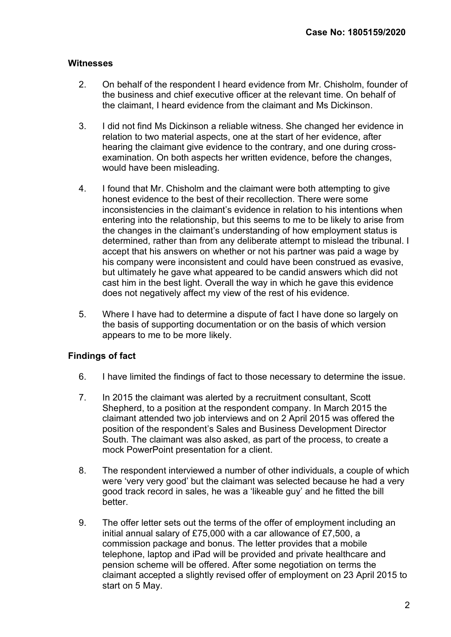### **Witnesses**

- 2. On behalf of the respondent I heard evidence from Mr. Chisholm, founder of the business and chief executive officer at the relevant time. On behalf of the claimant, I heard evidence from the claimant and Ms Dickinson.
- 3. I did not find Ms Dickinson a reliable witness. She changed her evidence in relation to two material aspects, one at the start of her evidence, after hearing the claimant give evidence to the contrary, and one during crossexamination. On both aspects her written evidence, before the changes, would have been misleading.
- 4. I found that Mr. Chisholm and the claimant were both attempting to give honest evidence to the best of their recollection. There were some inconsistencies in the claimant's evidence in relation to his intentions when entering into the relationship, but this seems to me to be likely to arise from the changes in the claimant's understanding of how employment status is determined, rather than from any deliberate attempt to mislead the tribunal. I accept that his answers on whether or not his partner was paid a wage by his company were inconsistent and could have been construed as evasive, but ultimately he gave what appeared to be candid answers which did not cast him in the best light. Overall the way in which he gave this evidence does not negatively affect my view of the rest of his evidence.
- 5. Where I have had to determine a dispute of fact I have done so largely on the basis of supporting documentation or on the basis of which version appears to me to be more likely.

## Findings of fact

- 6. I have limited the findings of fact to those necessary to determine the issue.
- 7. In 2015 the claimant was alerted by a recruitment consultant, Scott Shepherd, to a position at the respondent company. In March 2015 the claimant attended two job interviews and on 2 April 2015 was offered the position of the respondent's Sales and Business Development Director South. The claimant was also asked, as part of the process, to create a mock PowerPoint presentation for a client.
- 8. The respondent interviewed a number of other individuals, a couple of which were 'very very good' but the claimant was selected because he had a very good track record in sales, he was a 'likeable guy' and he fitted the bill better.
- 9. The offer letter sets out the terms of the offer of employment including an initial annual salary of £75,000 with a car allowance of £7,500, a commission package and bonus. The letter provides that a mobile telephone, laptop and iPad will be provided and private healthcare and pension scheme will be offered. After some negotiation on terms the claimant accepted a slightly revised offer of employment on 23 April 2015 to start on 5 May.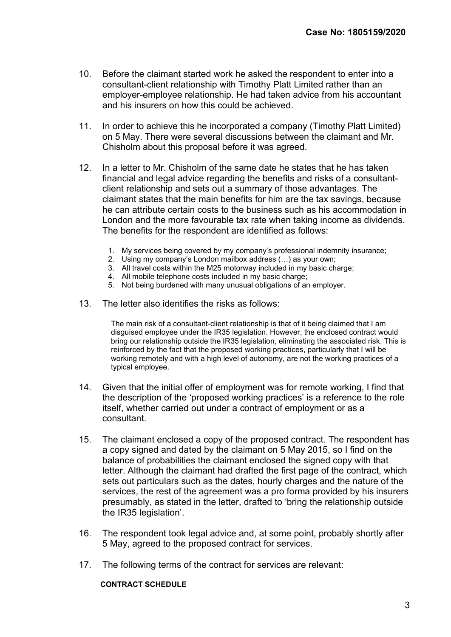- 10. Before the claimant started work he asked the respondent to enter into a consultant-client relationship with Timothy Platt Limited rather than an employer-employee relationship. He had taken advice from his accountant and his insurers on how this could be achieved.
- 11. In order to achieve this he incorporated a company (Timothy Platt Limited) on 5 May. There were several discussions between the claimant and Mr. Chisholm about this proposal before it was agreed.
- 12. In a letter to Mr. Chisholm of the same date he states that he has taken financial and legal advice regarding the benefits and risks of a consultantclient relationship and sets out a summary of those advantages. The claimant states that the main benefits for him are the tax savings, because he can attribute certain costs to the business such as his accommodation in London and the more favourable tax rate when taking income as dividends. The benefits for the respondent are identified as follows:
	- 1. My services being covered by my company's professional indemnity insurance;
	- 2. Using my company's London mailbox address (…) as your own;
	- 3. All travel costs within the M25 motorway included in my basic charge;
	- 4. All mobile telephone costs included in my basic charge;
	- 5. Not being burdened with many unusual obligations of an employer.
- 13. The letter also identifies the risks as follows:

The main risk of a consultant-client relationship is that of it being claimed that I am disguised employee under the IR35 legislation. However, the enclosed contract would bring our relationship outside the IR35 legislation, eliminating the associated risk. This is reinforced by the fact that the proposed working practices, particularly that I will be working remotely and with a high level of autonomy, are not the working practices of a typical employee.

- 14. Given that the initial offer of employment was for remote working, I find that the description of the 'proposed working practices' is a reference to the role itself, whether carried out under a contract of employment or as a consultant.
- 15. The claimant enclosed a copy of the proposed contract. The respondent has a copy signed and dated by the claimant on 5 May 2015, so I find on the balance of probabilities the claimant enclosed the signed copy with that letter. Although the claimant had drafted the first page of the contract, which sets out particulars such as the dates, hourly charges and the nature of the services, the rest of the agreement was a pro forma provided by his insurers presumably, as stated in the letter, drafted to 'bring the relationship outside the IR35 legislation'.
- 16. The respondent took legal advice and, at some point, probably shortly after 5 May, agreed to the proposed contract for services.
- 17. The following terms of the contract for services are relevant:

CONTRACT SCHEDULE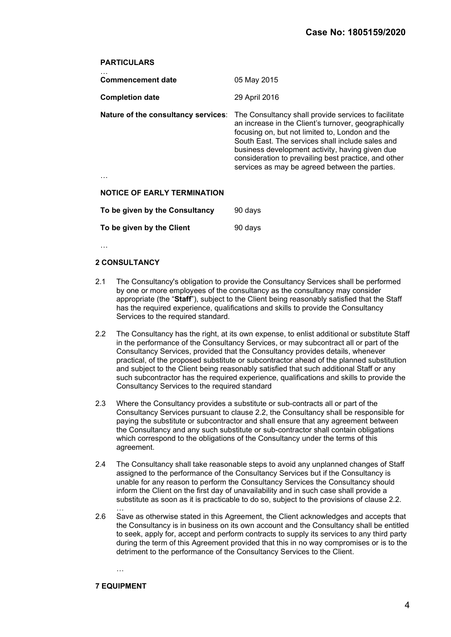#### **PARTICULARS**

| <b>Commencement date</b>            | 05 May 2015                                                                                                                                                                                                                                                                                                                                                                      |
|-------------------------------------|----------------------------------------------------------------------------------------------------------------------------------------------------------------------------------------------------------------------------------------------------------------------------------------------------------------------------------------------------------------------------------|
| <b>Completion date</b>              | 29 April 2016                                                                                                                                                                                                                                                                                                                                                                    |
| Nature of the consultancy services: | The Consultancy shall provide services to facilitate<br>an increase in the Client's turnover, geographically<br>focusing on, but not limited to, London and the<br>South East. The services shall include sales and<br>business development activity, having given due<br>consideration to prevailing best practice, and other<br>services as may be agreed between the parties. |
| <b>NOTICE OF EARLY TERMINATION</b>  |                                                                                                                                                                                                                                                                                                                                                                                  |
| To be given by the Consultancy      | 90 days                                                                                                                                                                                                                                                                                                                                                                          |
| To be given by the Client           | 90 days                                                                                                                                                                                                                                                                                                                                                                          |

…

#### 2 CONSULTANCY

- 2.1 The Consultancy's obligation to provide the Consultancy Services shall be performed by one or more employees of the consultancy as the consultancy may consider appropriate (the "Staff"), subject to the Client being reasonably satisfied that the Staff has the required experience, qualifications and skills to provide the Consultancy Services to the required standard.
- 2.2 The Consultancy has the right, at its own expense, to enlist additional or substitute Staff in the performance of the Consultancy Services, or may subcontract all or part of the Consultancy Services, provided that the Consultancy provides details, whenever practical, of the proposed substitute or subcontractor ahead of the planned substitution and subject to the Client being reasonably satisfied that such additional Staff or any such subcontractor has the required experience, qualifications and skills to provide the Consultancy Services to the required standard
- 2.3 Where the Consultancy provides a substitute or sub-contracts all or part of the Consultancy Services pursuant to clause 2.2, the Consultancy shall be responsible for paying the substitute or subcontractor and shall ensure that any agreement between the Consultancy and any such substitute or sub-contractor shall contain obligations which correspond to the obligations of the Consultancy under the terms of this agreement.
- 2.4 The Consultancy shall take reasonable steps to avoid any unplanned changes of Staff assigned to the performance of the Consultancy Services but if the Consultancy is unable for any reason to perform the Consultancy Services the Consultancy should inform the Client on the first day of unavailability and in such case shall provide a substitute as soon as it is practicable to do so, subject to the provisions of clause 2.2.
- 2.6 Save as otherwise stated in this Agreement, the Client acknowledges and accepts that the Consultancy is in business on its own account and the Consultancy shall be entitled to seek, apply for, accept and perform contracts to supply its services to any third party during the term of this Agreement provided that this in no way compromises or is to the detriment to the performance of the Consultancy Services to the Client.

…

…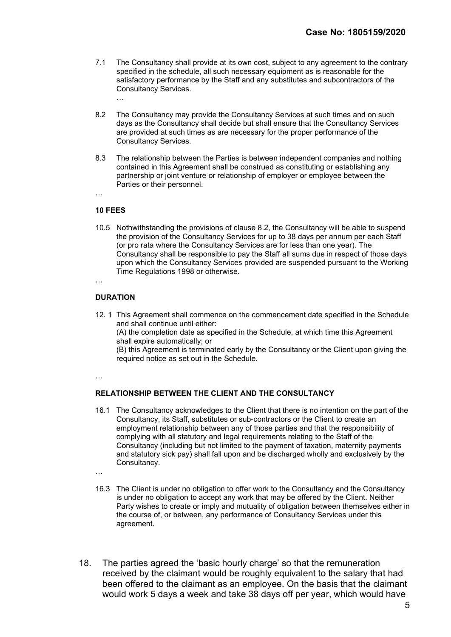- 7.1 The Consultancy shall provide at its own cost, subject to any agreement to the contrary specified in the schedule, all such necessary equipment as is reasonable for the satisfactory performance by the Staff and any substitutes and subcontractors of the Consultancy Services. …
- 8.2 The Consultancy may provide the Consultancy Services at such times and on such days as the Consultancy shall decide but shall ensure that the Consultancy Services are provided at such times as are necessary for the proper performance of the Consultancy Services.
- 8.3 The relationship between the Parties is between independent companies and nothing contained in this Agreement shall be construed as constituting or establishing any partnership or joint venture or relationship of employer or employee between the Parties or their personnel.

#### 10 FEES

10.5 Nothwithstanding the provisions of clause 8.2, the Consultancy will be able to suspend the provision of the Consultancy Services for up to 38 days per annum per each Staff (or pro rata where the Consultancy Services are for less than one year). The Consultancy shall be responsible to pay the Staff all sums due in respect of those days upon which the Consultancy Services provided are suspended pursuant to the Working Time Regulations 1998 or otherwise.

…

#### **DURATION**

12. 1 This Agreement shall commence on the commencement date specified in the Schedule and shall continue until either:

 (A) the completion date as specified in the Schedule, at which time this Agreement shall expire automatically; or

 (B) this Agreement is terminated early by the Consultancy or the Client upon giving the required notice as set out in the Schedule.

…

#### RELATIONSHIP BETWEEN THE CLIENT AND THE CONSULTANCY

16.1 The Consultancy acknowledges to the Client that there is no intention on the part of the Consultancy, its Staff, substitutes or sub-contractors or the Client to create an employment relationship between any of those parties and that the responsibility of complying with all statutory and legal requirements relating to the Staff of the Consultancy (including but not limited to the payment of taxation, maternity payments and statutory sick pay) shall fall upon and be discharged wholly and exclusively by the Consultancy.

…

- 16.3 The Client is under no obligation to offer work to the Consultancy and the Consultancy is under no obligation to accept any work that may be offered by the Client. Neither Party wishes to create or imply and mutuality of obligation between themselves either in the course of, or between, any performance of Consultancy Services under this agreement.
- 18. The parties agreed the 'basic hourly charge' so that the remuneration received by the claimant would be roughly equivalent to the salary that had been offered to the claimant as an employee. On the basis that the claimant would work 5 days a week and take 38 days off per year, which would have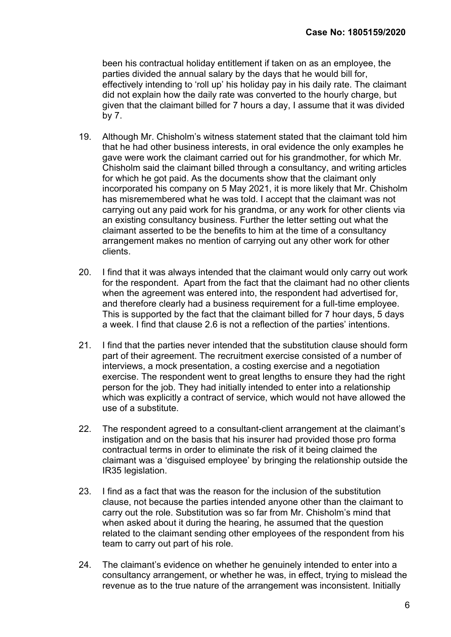been his contractual holiday entitlement if taken on as an employee, the parties divided the annual salary by the days that he would bill for, effectively intending to 'roll up' his holiday pay in his daily rate. The claimant did not explain how the daily rate was converted to the hourly charge, but given that the claimant billed for 7 hours a day, I assume that it was divided by 7.

- 19. Although Mr. Chisholm's witness statement stated that the claimant told him that he had other business interests, in oral evidence the only examples he gave were work the claimant carried out for his grandmother, for which Mr. Chisholm said the claimant billed through a consultancy, and writing articles for which he got paid. As the documents show that the claimant only incorporated his company on 5 May 2021, it is more likely that Mr. Chisholm has misremembered what he was told. I accept that the claimant was not carrying out any paid work for his grandma, or any work for other clients via an existing consultancy business. Further the letter setting out what the claimant asserted to be the benefits to him at the time of a consultancy arrangement makes no mention of carrying out any other work for other clients.
- 20. I find that it was always intended that the claimant would only carry out work for the respondent. Apart from the fact that the claimant had no other clients when the agreement was entered into, the respondent had advertised for, and therefore clearly had a business requirement for a full-time employee. This is supported by the fact that the claimant billed for 7 hour days, 5 days a week. I find that clause 2.6 is not a reflection of the parties' intentions.
- 21. I find that the parties never intended that the substitution clause should form part of their agreement. The recruitment exercise consisted of a number of interviews, a mock presentation, a costing exercise and a negotiation exercise. The respondent went to great lengths to ensure they had the right person for the job. They had initially intended to enter into a relationship which was explicitly a contract of service, which would not have allowed the use of a substitute.
- 22. The respondent agreed to a consultant-client arrangement at the claimant's instigation and on the basis that his insurer had provided those pro forma contractual terms in order to eliminate the risk of it being claimed the claimant was a 'disguised employee' by bringing the relationship outside the IR35 legislation.
- 23. I find as a fact that was the reason for the inclusion of the substitution clause, not because the parties intended anyone other than the claimant to carry out the role. Substitution was so far from Mr. Chisholm's mind that when asked about it during the hearing, he assumed that the question related to the claimant sending other employees of the respondent from his team to carry out part of his role.
- 24. The claimant's evidence on whether he genuinely intended to enter into a consultancy arrangement, or whether he was, in effect, trying to mislead the revenue as to the true nature of the arrangement was inconsistent. Initially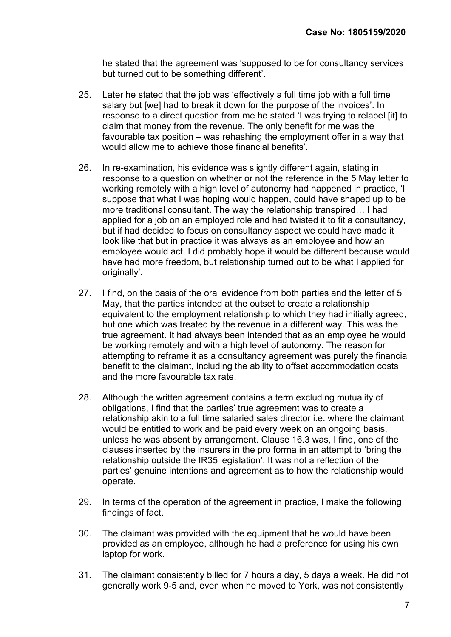he stated that the agreement was 'supposed to be for consultancy services but turned out to be something different'.

- 25. Later he stated that the job was 'effectively a full time job with a full time salary but [we] had to break it down for the purpose of the invoices'. In response to a direct question from me he stated 'I was trying to relabel [it] to claim that money from the revenue. The only benefit for me was the favourable tax position – was rehashing the employment offer in a way that would allow me to achieve those financial benefits'.
- 26. In re-examination, his evidence was slightly different again, stating in response to a question on whether or not the reference in the 5 May letter to working remotely with a high level of autonomy had happened in practice. 'I suppose that what I was hoping would happen, could have shaped up to be more traditional consultant. The way the relationship transpired… I had applied for a job on an employed role and had twisted it to fit a consultancy, but if had decided to focus on consultancy aspect we could have made it look like that but in practice it was always as an employee and how an employee would act. I did probably hope it would be different because would have had more freedom, but relationship turned out to be what I applied for originally'.
- 27. I find, on the basis of the oral evidence from both parties and the letter of 5 May, that the parties intended at the outset to create a relationship equivalent to the employment relationship to which they had initially agreed, but one which was treated by the revenue in a different way. This was the true agreement. It had always been intended that as an employee he would be working remotely and with a high level of autonomy. The reason for attempting to reframe it as a consultancy agreement was purely the financial benefit to the claimant, including the ability to offset accommodation costs and the more favourable tax rate.
- 28. Although the written agreement contains a term excluding mutuality of obligations, I find that the parties' true agreement was to create a relationship akin to a full time salaried sales director i.e. where the claimant would be entitled to work and be paid every week on an ongoing basis, unless he was absent by arrangement. Clause 16.3 was, I find, one of the clauses inserted by the insurers in the pro forma in an attempt to 'bring the relationship outside the IR35 legislation'. It was not a reflection of the parties' genuine intentions and agreement as to how the relationship would operate.
- 29. In terms of the operation of the agreement in practice, I make the following findings of fact.
- 30. The claimant was provided with the equipment that he would have been provided as an employee, although he had a preference for using his own laptop for work.
- 31. The claimant consistently billed for 7 hours a day, 5 days a week. He did not generally work 9-5 and, even when he moved to York, was not consistently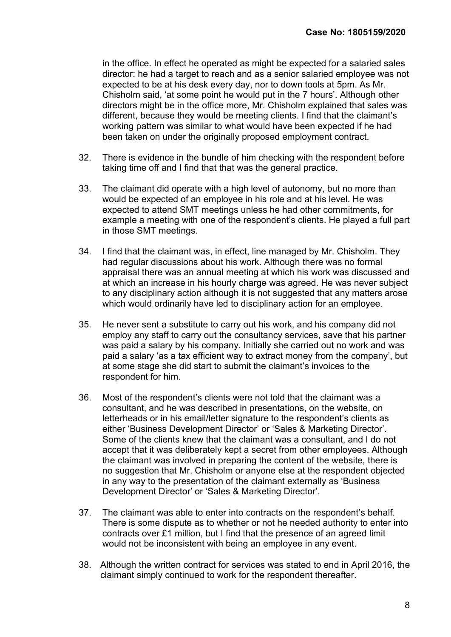in the office. In effect he operated as might be expected for a salaried sales director: he had a target to reach and as a senior salaried employee was not expected to be at his desk every day, nor to down tools at 5pm. As Mr. Chisholm said, 'at some point he would put in the 7 hours'. Although other directors might be in the office more, Mr. Chisholm explained that sales was different, because they would be meeting clients. I find that the claimant's working pattern was similar to what would have been expected if he had been taken on under the originally proposed employment contract.

- 32. There is evidence in the bundle of him checking with the respondent before taking time off and I find that that was the general practice.
- 33. The claimant did operate with a high level of autonomy, but no more than would be expected of an employee in his role and at his level. He was expected to attend SMT meetings unless he had other commitments, for example a meeting with one of the respondent's clients. He played a full part in those SMT meetings.
- 34. I find that the claimant was, in effect, line managed by Mr. Chisholm. They had regular discussions about his work. Although there was no formal appraisal there was an annual meeting at which his work was discussed and at which an increase in his hourly charge was agreed. He was never subject to any disciplinary action although it is not suggested that any matters arose which would ordinarily have led to disciplinary action for an employee.
- 35. He never sent a substitute to carry out his work, and his company did not employ any staff to carry out the consultancy services, save that his partner was paid a salary by his company. Initially she carried out no work and was paid a salary 'as a tax efficient way to extract money from the company', but at some stage she did start to submit the claimant's invoices to the respondent for him.
- 36. Most of the respondent's clients were not told that the claimant was a consultant, and he was described in presentations, on the website, on letterheads or in his email/letter signature to the respondent's clients as either 'Business Development Director' or 'Sales & Marketing Director'. Some of the clients knew that the claimant was a consultant, and I do not accept that it was deliberately kept a secret from other employees. Although the claimant was involved in preparing the content of the website, there is no suggestion that Mr. Chisholm or anyone else at the respondent objected in any way to the presentation of the claimant externally as 'Business Development Director' or 'Sales & Marketing Director'.
- 37. The claimant was able to enter into contracts on the respondent's behalf. There is some dispute as to whether or not he needed authority to enter into contracts over £1 million, but I find that the presence of an agreed limit would not be inconsistent with being an employee in any event.
- 38. Although the written contract for services was stated to end in April 2016, the claimant simply continued to work for the respondent thereafter.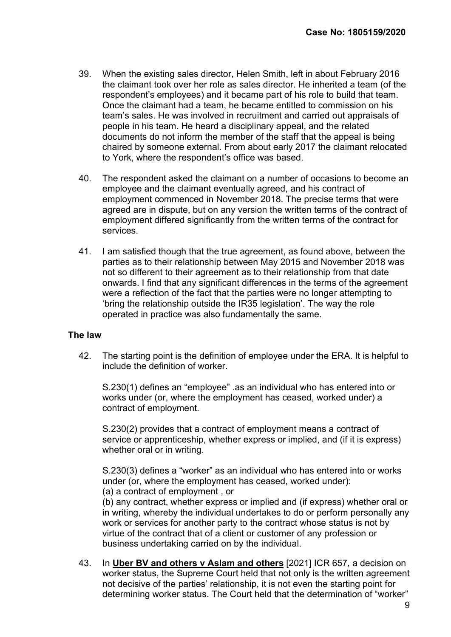- 39. When the existing sales director, Helen Smith, left in about February 2016 the claimant took over her role as sales director. He inherited a team (of the respondent's employees) and it became part of his role to build that team. Once the claimant had a team, he became entitled to commission on his team's sales. He was involved in recruitment and carried out appraisals of people in his team. He heard a disciplinary appeal, and the related documents do not inform the member of the staff that the appeal is being chaired by someone external. From about early 2017 the claimant relocated to York, where the respondent's office was based.
- 40. The respondent asked the claimant on a number of occasions to become an employee and the claimant eventually agreed, and his contract of employment commenced in November 2018. The precise terms that were agreed are in dispute, but on any version the written terms of the contract of employment differed significantly from the written terms of the contract for services.
- 41. I am satisfied though that the true agreement, as found above, between the parties as to their relationship between May 2015 and November 2018 was not so different to their agreement as to their relationship from that date onwards. I find that any significant differences in the terms of the agreement were a reflection of the fact that the parties were no longer attempting to 'bring the relationship outside the IR35 legislation'. The way the role operated in practice was also fundamentally the same.

### The law

42. The starting point is the definition of employee under the ERA. It is helpful to include the definition of worker.

S.230(1) defines an "employee" .as an individual who has entered into or works under (or, where the employment has ceased, worked under) a contract of employment.

S.230(2) provides that a contract of employment means a contract of service or apprenticeship, whether express or implied, and (if it is express) whether oral or in writing.

S.230(3) defines a "worker" as an individual who has entered into or works under (or, where the employment has ceased, worked under): (a) a contract of employment , or

(b) any contract, whether express or implied and (if express) whether oral or in writing, whereby the individual undertakes to do or perform personally any work or services for another party to the contract whose status is not by virtue of the contract that of a client or customer of any profession or business undertaking carried on by the individual.

43. In Uber BV and others v Aslam and others [2021] ICR 657, a decision on worker status, the Supreme Court held that not only is the written agreement not decisive of the parties' relationship, it is not even the starting point for determining worker status. The Court held that the determination of "worker"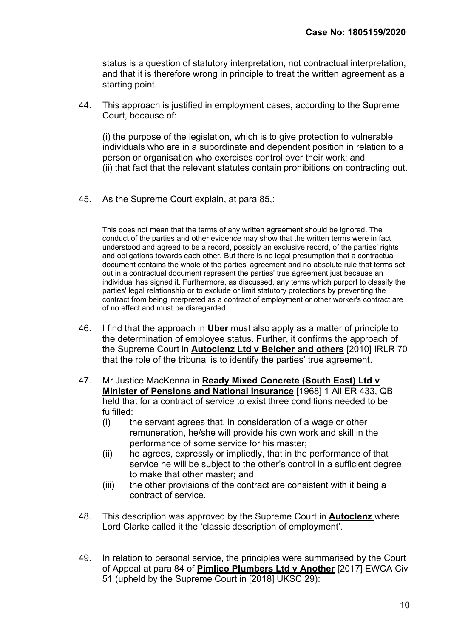status is a question of statutory interpretation, not contractual interpretation, and that it is therefore wrong in principle to treat the written agreement as a starting point.

44. This approach is justified in employment cases, according to the Supreme Court, because of:

(i) the purpose of the legislation, which is to give protection to vulnerable individuals who are in a subordinate and dependent position in relation to a person or organisation who exercises control over their work; and (ii) that fact that the relevant statutes contain prohibitions on contracting out.

45. As the Supreme Court explain, at para 85,:

This does not mean that the terms of any written agreement should be ignored. The conduct of the parties and other evidence may show that the written terms were in fact understood and agreed to be a record, possibly an exclusive record, of the parties' rights and obligations towards each other. But there is no legal presumption that a contractual document contains the whole of the parties' agreement and no absolute rule that terms set out in a contractual document represent the parties' true agreement just because an individual has signed it. Furthermore, as discussed, any terms which purport to classify the parties' legal relationship or to exclude or limit statutory protections by preventing the contract from being interpreted as a contract of employment or other worker's contract are of no effect and must be disregarded.

- 46. I find that the approach in **Uber** must also apply as a matter of principle to the determination of employee status. Further, it confirms the approach of the Supreme Court in Autoclenz Ltd v Belcher and others [2010] IRLR 70 that the role of the tribunal is to identify the parties' true agreement.
- 47. Mr Justice MacKenna in Ready Mixed Concrete (South East) Ltd v Minister of Pensions and National Insurance [1968] 1 All ER 433, QB held that for a contract of service to exist three conditions needed to be fulfilled:
	- (i) the servant agrees that, in consideration of a wage or other remuneration, he/she will provide his own work and skill in the performance of some service for his master;
	- (ii) he agrees, expressly or impliedly, that in the performance of that service he will be subject to the other's control in a sufficient degree to make that other master; and
	- (iii) the other provisions of the contract are consistent with it being a contract of service.
- 48. This description was approved by the Supreme Court in **Autoclenz** where Lord Clarke called it the 'classic description of employment'.
- 49. In relation to personal service, the principles were summarised by the Court of Appeal at para 84 of Pimlico Plumbers Ltd v Another [2017] EWCA Civ 51 (upheld by the Supreme Court in [2018] UKSC 29):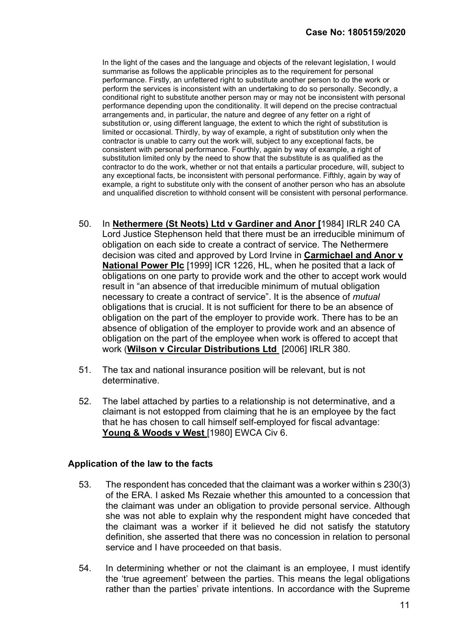In the light of the cases and the language and objects of the relevant legislation, I would summarise as follows the applicable principles as to the requirement for personal performance. Firstly, an unfettered right to substitute another person to do the work or perform the services is inconsistent with an undertaking to do so personally. Secondly, a conditional right to substitute another person may or may not be inconsistent with personal performance depending upon the conditionality. It will depend on the precise contractual arrangements and, in particular, the nature and degree of any fetter on a right of substitution or, using different language, the extent to which the right of substitution is limited or occasional. Thirdly, by way of example, a right of substitution only when the contractor is unable to carry out the work will, subject to any exceptional facts, be consistent with personal performance. Fourthly, again by way of example, a right of substitution limited only by the need to show that the substitute is as qualified as the contractor to do the work, whether or not that entails a particular procedure, will, subject to any exceptional facts, be inconsistent with personal performance. Fifthly, again by way of example, a right to substitute only with the consent of another person who has an absolute and unqualified discretion to withhold consent will be consistent with personal performance.

- 50. In Nethermere (St Neots) Ltd v Gardiner and Anor [1984] IRLR 240 CA Lord Justice Stephenson held that there must be an irreducible minimum of obligation on each side to create a contract of service. The Nethermere decision was cited and approved by Lord Irvine in Carmichael and Anor v National Power Plc [1999] ICR 1226, HL, when he posited that a lack of obligations on one party to provide work and the other to accept work would result in "an absence of that irreducible minimum of mutual obligation necessary to create a contract of service". It is the absence of mutual obligations that is crucial. It is not sufficient for there to be an absence of obligation on the part of the employer to provide work. There has to be an absence of obligation of the employer to provide work and an absence of obligation on the part of the employee when work is offered to accept that work (Wilson v Circular Distributions Ltd [2006] IRLR 380.
- 51. The tax and national insurance position will be relevant, but is not determinative.
- 52. The label attached by parties to a relationship is not determinative, and a claimant is not estopped from claiming that he is an employee by the fact that he has chosen to call himself self-employed for fiscal advantage: Young & Woods v West [1980] EWCA Civ 6.

### Application of the law to the facts

- 53. The respondent has conceded that the claimant was a worker within s 230(3) of the ERA. I asked Ms Rezaie whether this amounted to a concession that the claimant was under an obligation to provide personal service. Although she was not able to explain why the respondent might have conceded that the claimant was a worker if it believed he did not satisfy the statutory definition, she asserted that there was no concession in relation to personal service and I have proceeded on that basis.
- 54. In determining whether or not the claimant is an employee, I must identify the 'true agreement' between the parties. This means the legal obligations rather than the parties' private intentions. In accordance with the Supreme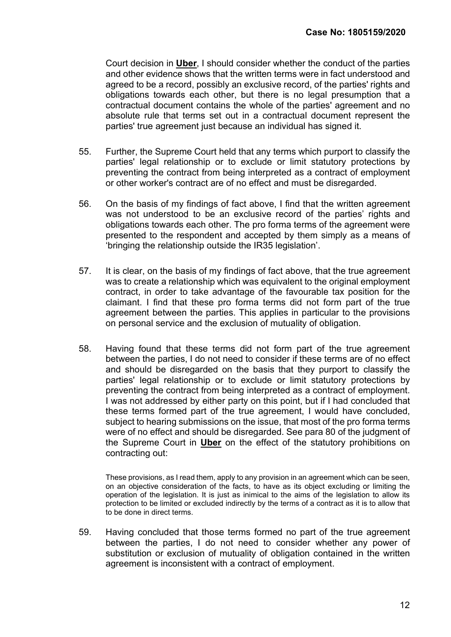Court decision in Uber, I should consider whether the conduct of the parties and other evidence shows that the written terms were in fact understood and agreed to be a record, possibly an exclusive record, of the parties' rights and obligations towards each other, but there is no legal presumption that a contractual document contains the whole of the parties' agreement and no absolute rule that terms set out in a contractual document represent the parties' true agreement just because an individual has signed it.

- 55. Further, the Supreme Court held that any terms which purport to classify the parties' legal relationship or to exclude or limit statutory protections by preventing the contract from being interpreted as a contract of employment or other worker's contract are of no effect and must be disregarded.
- 56. On the basis of my findings of fact above, I find that the written agreement was not understood to be an exclusive record of the parties' rights and obligations towards each other. The pro forma terms of the agreement were presented to the respondent and accepted by them simply as a means of 'bringing the relationship outside the IR35 legislation'.
- 57. It is clear, on the basis of my findings of fact above, that the true agreement was to create a relationship which was equivalent to the original employment contract, in order to take advantage of the favourable tax position for the claimant. I find that these pro forma terms did not form part of the true agreement between the parties. This applies in particular to the provisions on personal service and the exclusion of mutuality of obligation.
- 58. Having found that these terms did not form part of the true agreement between the parties, I do not need to consider if these terms are of no effect and should be disregarded on the basis that they purport to classify the parties' legal relationship or to exclude or limit statutory protections by preventing the contract from being interpreted as a contract of employment. I was not addressed by either party on this point, but if I had concluded that these terms formed part of the true agreement, I would have concluded, subject to hearing submissions on the issue, that most of the pro forma terms were of no effect and should be disregarded. See para 80 of the judgment of the Supreme Court in Uber on the effect of the statutory prohibitions on contracting out:

 These provisions, as I read them, apply to any provision in an agreement which can be seen, on an objective consideration of the facts, to have as its object excluding or limiting the operation of the legislation. It is just as inimical to the aims of the legislation to allow its protection to be limited or excluded indirectly by the terms of a contract as it is to allow that to be done in direct terms.

59. Having concluded that those terms formed no part of the true agreement between the parties, I do not need to consider whether any power of substitution or exclusion of mutuality of obligation contained in the written agreement is inconsistent with a contract of employment.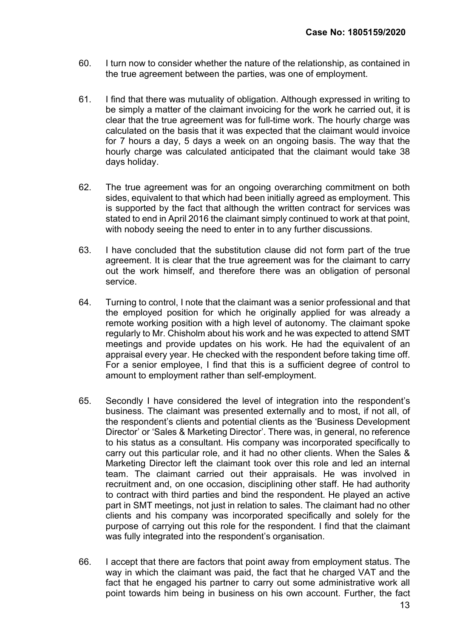- 60. I turn now to consider whether the nature of the relationship, as contained in the true agreement between the parties, was one of employment.
- 61. I find that there was mutuality of obligation. Although expressed in writing to be simply a matter of the claimant invoicing for the work he carried out, it is clear that the true agreement was for full-time work. The hourly charge was calculated on the basis that it was expected that the claimant would invoice for 7 hours a day, 5 days a week on an ongoing basis. The way that the hourly charge was calculated anticipated that the claimant would take 38 days holiday.
- 62. The true agreement was for an ongoing overarching commitment on both sides, equivalent to that which had been initially agreed as employment. This is supported by the fact that although the written contract for services was stated to end in April 2016 the claimant simply continued to work at that point, with nobody seeing the need to enter in to any further discussions.
- 63. I have concluded that the substitution clause did not form part of the true agreement. It is clear that the true agreement was for the claimant to carry out the work himself, and therefore there was an obligation of personal service.
- 64. Turning to control, I note that the claimant was a senior professional and that the employed position for which he originally applied for was already a remote working position with a high level of autonomy. The claimant spoke regularly to Mr. Chisholm about his work and he was expected to attend SMT meetings and provide updates on his work. He had the equivalent of an appraisal every year. He checked with the respondent before taking time off. For a senior employee, I find that this is a sufficient degree of control to amount to employment rather than self-employment.
- 65. Secondly I have considered the level of integration into the respondent's business. The claimant was presented externally and to most, if not all, of the respondent's clients and potential clients as the 'Business Development Director' or 'Sales & Marketing Director'. There was, in general, no reference to his status as a consultant. His company was incorporated specifically to carry out this particular role, and it had no other clients. When the Sales & Marketing Director left the claimant took over this role and led an internal team. The claimant carried out their appraisals. He was involved in recruitment and, on one occasion, disciplining other staff. He had authority to contract with third parties and bind the respondent. He played an active part in SMT meetings, not just in relation to sales. The claimant had no other clients and his company was incorporated specifically and solely for the purpose of carrying out this role for the respondent. I find that the claimant was fully integrated into the respondent's organisation.
- 66. I accept that there are factors that point away from employment status. The way in which the claimant was paid, the fact that he charged VAT and the fact that he engaged his partner to carry out some administrative work all point towards him being in business on his own account. Further, the fact